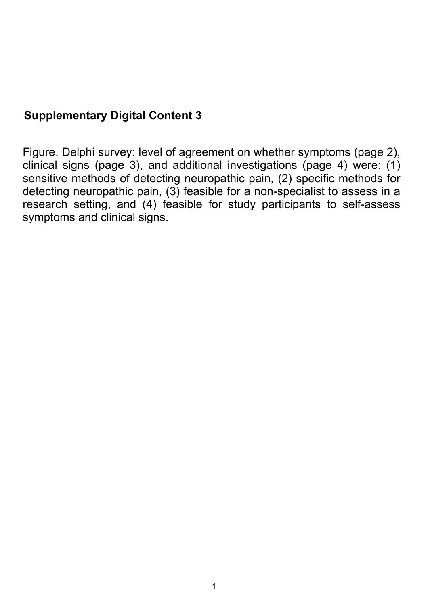## **Supplementary Digital Content 3**

Figure. Delphi survey: level of agreement on whether symptoms (page 2), clinical signs (page 3), and additional investigations (page 4) were: (1) sensitive methods of detecting neuropathic pain, (2) specific methods for detecting neuropathic pain, (3) feasible for a non-specialist to assess in a research setting, and (4) feasible for study participants to self-assess symptoms and clinical signs.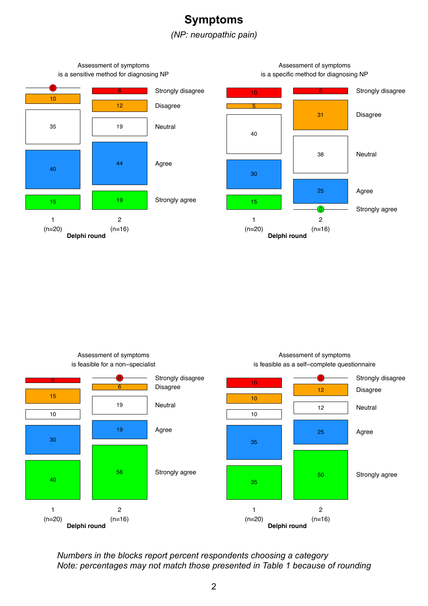



Assessment of symptoms is feasible as a self−complete questionnaire Strongly disagree <sup>10</sup>



Assessment of symptoms is feasible for a non−specialist

*Numbers in the blocks report percent respondents choosing a category Note: percentages may not match those presented in Table 1 because of rounding*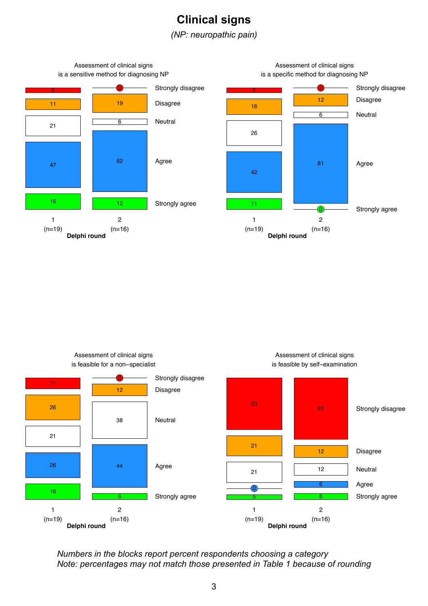## **Clinical signs**

*(NP: neuropathic pain)*



Assessment of clinical signs is feasible for a non−specialist



Assessment of clinical signs is feasible by self−examination

*Numbers in the blocks report percent respondents choosing a category Note: percentages may not match those presented in Table 1 because of rounding*